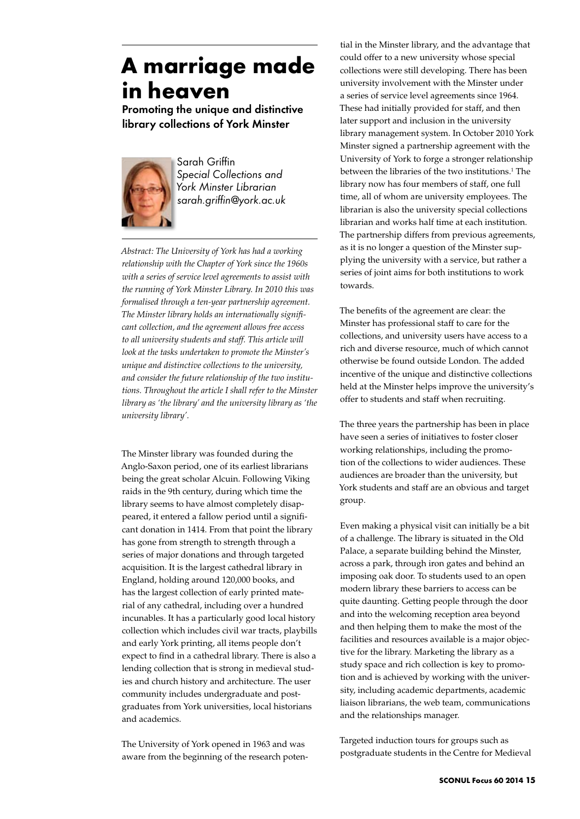## **A marriage made in heaven**

Promoting the unique and distinctive library collections of York Minster



Sarah Griffin *Special Collections and York Minster Librarian sarah.griffin@york.ac.uk*

*Abstract: The University of York has had a working relationship with the Chapter of York since the 1960s with a series of service level agreements to assist with the running of York Minster Library. In 2010 this was formalised through a ten-year partnership agreement. The Minster library holds an internationally significant collection, and the agreement allows free access to all university students and staff. This article will look at the tasks undertaken to promote the Minster's unique and distinctive collections to the university, and consider the future relationship of the two institutions. Throughout the article I shall refer to the Minster library as 'the library' and the university library as 'the university library'.*

The Minster library was founded during the Anglo-Saxon period, one of its earliest librarians being the great scholar Alcuin. Following Viking raids in the 9th century, during which time the library seems to have almost completely disappeared, it entered a fallow period until a significant donation in 1414. From that point the library has gone from strength to strength through a series of major donations and through targeted acquisition. It is the largest cathedral library in England, holding around 120,000 books, and has the largest collection of early printed material of any cathedral, including over a hundred incunables. It has a particularly good local history collection which includes civil war tracts, playbills and early York printing, all items people don't expect to find in a cathedral library. There is also a lending collection that is strong in medieval studies and church history and architecture. The user community includes undergraduate and postgraduates from York universities, local historians and academics.

The University of York opened in 1963 and was aware from the beginning of the research poten-

tial in the Minster library, and the advantage that could offer to a new university whose special collections were still developing. There has been university involvement with the Minster under a series of service level agreements since 1964. These had initially provided for staff, and then later support and inclusion in the university library management system. In October 2010 York Minster signed a partnership agreement with the University of York to forge a stronger relationship between the libraries of the two institutions.<sup>1</sup> The library now has four members of staff, one full time, all of whom are university employees. The librarian is also the university special collections librarian and works half time at each institution. The partnership differs from previous agreements, as it is no longer a question of the Minster supplying the university with a service, but rather a series of joint aims for both institutions to work towards.

The benefits of the agreement are clear: the Minster has professional staff to care for the collections, and university users have access to a rich and diverse resource, much of which cannot otherwise be found outside London. The added incentive of the unique and distinctive collections held at the Minster helps improve the university's offer to students and staff when recruiting.

The three years the partnership has been in place have seen a series of initiatives to foster closer working relationships, including the promotion of the collections to wider audiences. These audiences are broader than the university, but York students and staff are an obvious and target group.

Even making a physical visit can initially be a bit of a challenge. The library is situated in the Old Palace, a separate building behind the Minster, across a park, through iron gates and behind an imposing oak door. To students used to an open modern library these barriers to access can be quite daunting. Getting people through the door and into the welcoming reception area beyond and then helping them to make the most of the facilities and resources available is a major objective for the library. Marketing the library as a study space and rich collection is key to promotion and is achieved by working with the university, including academic departments, academic liaison librarians, the web team, communications and the relationships manager.

Targeted induction tours for groups such as postgraduate students in the Centre for Medieval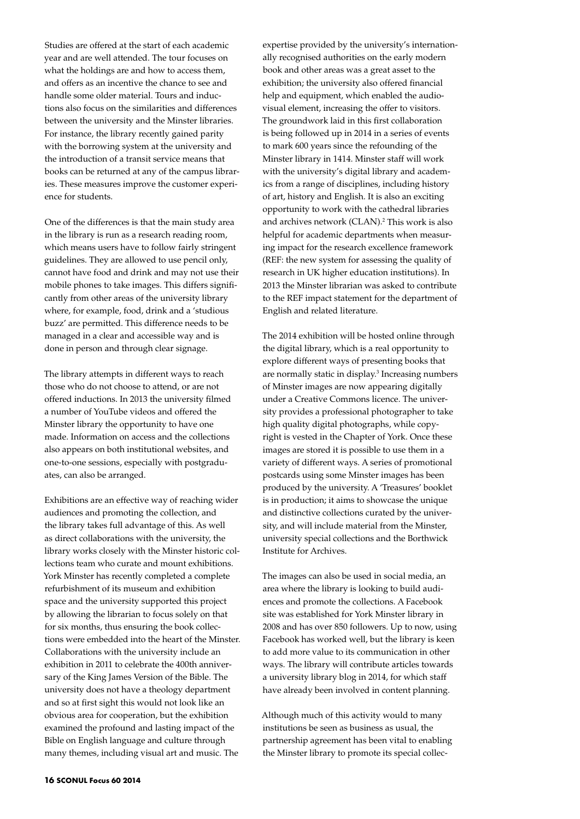Studies are offered at the start of each academic year and are well attended. The tour focuses on what the holdings are and how to access them, and offers as an incentive the chance to see and handle some older material. Tours and inductions also focus on the similarities and differences between the university and the Minster libraries. For instance, the library recently gained parity with the borrowing system at the university and the introduction of a transit service means that books can be returned at any of the campus libraries. These measures improve the customer experience for students.

One of the differences is that the main study area in the library is run as a research reading room, which means users have to follow fairly stringent guidelines. They are allowed to use pencil only, cannot have food and drink and may not use their mobile phones to take images. This differs significantly from other areas of the university library where, for example, food, drink and a 'studious buzz' are permitted. This difference needs to be managed in a clear and accessible way and is done in person and through clear signage.

The library attempts in different ways to reach those who do not choose to attend, or are not offered inductions. In 2013 the university filmed a number of YouTube videos and offered the Minster library the opportunity to have one made. Information on access and the collections also appears on both institutional websites, and one-to-one sessions, especially with postgraduates, can also be arranged.

Exhibitions are an effective way of reaching wider audiences and promoting the collection, and the library takes full advantage of this. As well as direct collaborations with the university, the library works closely with the Minster historic collections team who curate and mount exhibitions. York Minster has recently completed a complete refurbishment of its museum and exhibition space and the university supported this project by allowing the librarian to focus solely on that for six months, thus ensuring the book collections were embedded into the heart of the Minster. Collaborations with the university include an exhibition in 2011 to celebrate the 400th anniversary of the King James Version of the Bible. The university does not have a theology department and so at first sight this would not look like an obvious area for cooperation, but the exhibition examined the profound and lasting impact of the Bible on English language and culture through many themes, including visual art and music. The

expertise provided by the university's internationally recognised authorities on the early modern book and other areas was a great asset to the exhibition; the university also offered financial help and equipment, which enabled the audiovisual element, increasing the offer to visitors. The groundwork laid in this first collaboration is being followed up in 2014 in a series of events to mark 600 years since the refounding of the Minster library in 1414. Minster staff will work with the university's digital library and academics from a range of disciplines, including history of art, history and English. It is also an exciting opportunity to work with the cathedral libraries and archives network (CLAN).<sup>2</sup> This work is also helpful for academic departments when measuring impact for the research excellence framework (REF: the new system for assessing the quality of research in UK higher education institutions). In 2013 the Minster librarian was asked to contribute to the REF impact statement for the department of English and related literature.

The 2014 exhibition will be hosted online through the digital library, which is a real opportunity to explore different ways of presenting books that are normally static in display.<sup>3</sup> Increasing numbers of Minster images are now appearing digitally under a Creative Commons licence. The university provides a professional photographer to take high quality digital photographs, while copyright is vested in the Chapter of York. Once these images are stored it is possible to use them in a variety of different ways. A series of promotional postcards using some Minster images has been produced by the university. A 'Treasures' booklet is in production; it aims to showcase the unique and distinctive collections curated by the university, and will include material from the Minster, university special collections and the Borthwick Institute for Archives.

The images can also be used in social media, an area where the library is looking to build audiences and promote the collections. A Facebook site was established for York Minster library in 2008 and has over 850 followers. Up to now, using Facebook has worked well, but the library is keen to add more value to its communication in other ways. The library will contribute articles towards a university library blog in 2014, for which staff have already been involved in content planning.

Although much of this activity would to many institutions be seen as business as usual, the partnership agreement has been vital to enabling the Minster library to promote its special collec-